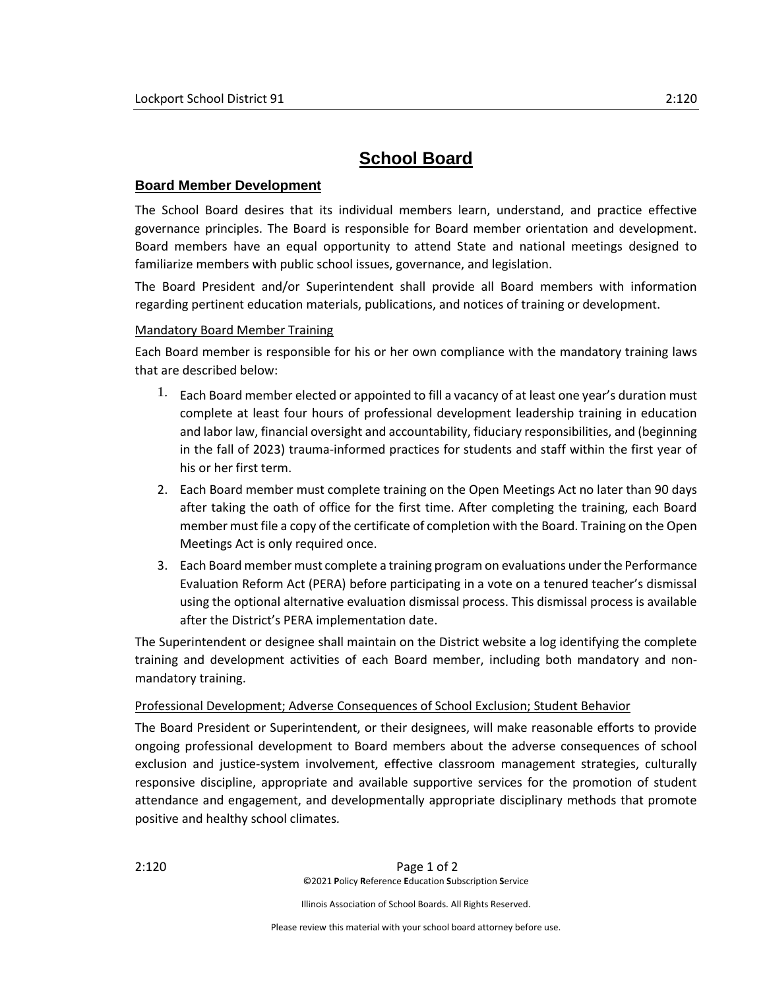# **School Board**

## **Board Member Development**

The School Board desires that its individual members learn, understand, and practice effective governance principles. The Board is responsible for Board member orientation and development. Board members have an equal opportunity to attend State and national meetings designed to familiarize members with public school issues, governance, and legislation.

The Board President and/or Superintendent shall provide all Board members with information regarding pertinent education materials, publications, and notices of training or development.

## Mandatory Board Member Training

Each Board member is responsible for his or her own compliance with the mandatory training laws that are described below:

- $1.$  Each Board member elected or appointed to fill a vacancy of at least one year's duration must complete at least four hours of professional development leadership training in education and labor law, financial oversight and accountability, fiduciary responsibilities, and (beginning in the fall of 2023) trauma-informed practices for students and staff within the first year of his or her first term.
- 2. Each Board member must complete training on the Open Meetings Act no later than 90 days after taking the oath of office for the first time. After completing the training, each Board member must file a copy of the certificate of completion with the Board. Training on the Open Meetings Act is only required once.
- 3. Each Board member must complete a training program on evaluations under the Performance Evaluation Reform Act (PERA) before participating in a vote on a tenured teacher's dismissal using the optional alternative evaluation dismissal process. This dismissal process is available after the District's PERA implementation date.

The Superintendent or designee shall maintain on the District website a log identifying the complete training and development activities of each Board member, including both mandatory and nonmandatory training.

## Professional Development; Adverse Consequences of School Exclusion; Student Behavior

The Board President or Superintendent, or their designees, will make reasonable efforts to provide ongoing professional development to Board members about the adverse consequences of school exclusion and justice-system involvement, effective classroom management strategies, culturally responsive discipline, appropriate and available supportive services for the promotion of student attendance and engagement, and developmentally appropriate disciplinary methods that promote positive and healthy school climates*.*

2:120 Page 1 of 2 ©2021 **P**olicy **R**eference **E**ducation **S**ubscription **S**ervice

Illinois Association of School Boards. All Rights Reserved.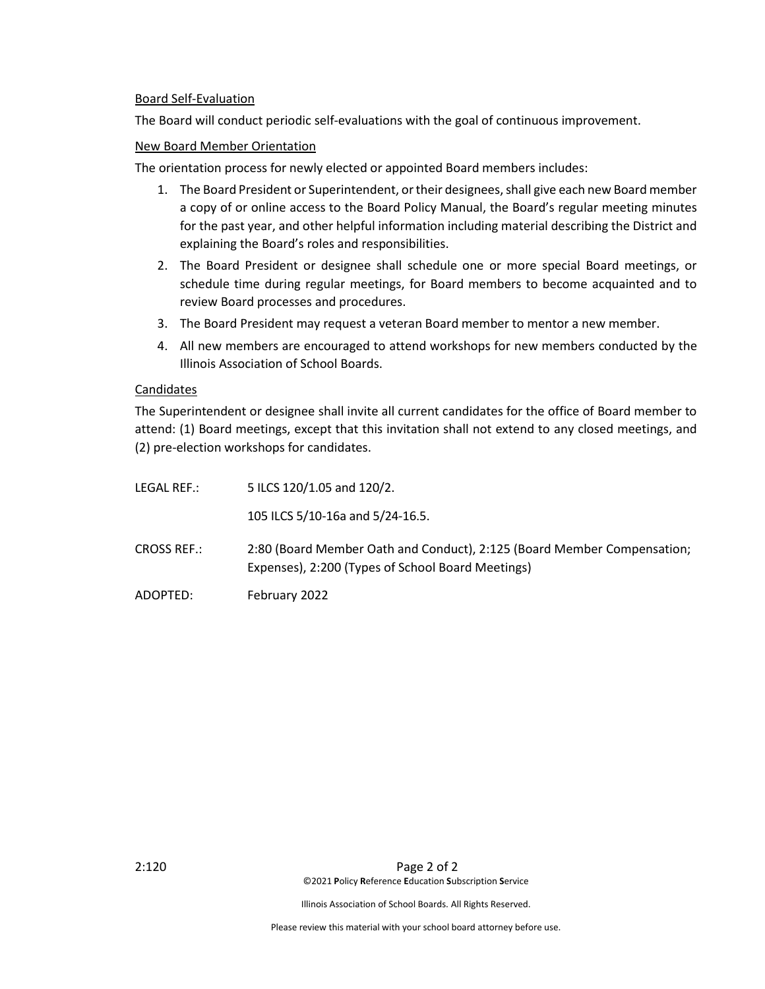### Board Self-Evaluation

The Board will conduct periodic self-evaluations with the goal of continuous improvement.

### New Board Member Orientation

The orientation process for newly elected or appointed Board members includes:

- 1. The Board President or Superintendent, or their designees, shall give each new Board member a copy of or online access to the Board Policy Manual, the Board's regular meeting minutes for the past year, and other helpful information including material describing the District and explaining the Board's roles and responsibilities.
- 2. The Board President or designee shall schedule one or more special Board meetings, or schedule time during regular meetings, for Board members to become acquainted and to review Board processes and procedures.
- 3. The Board President may request a veteran Board member to mentor a new member.
- 4. All new members are encouraged to attend workshops for new members conducted by the Illinois Association of School Boards.

### Candidates

The Superintendent or designee shall invite all current candidates for the office of Board member to attend: (1) Board meetings, except that this invitation shall not extend to any closed meetings, and (2) pre-election workshops for candidates.

| LEGAL REF.:        | 5 ILCS 120/1.05 and 120/2.                                                                                                   |
|--------------------|------------------------------------------------------------------------------------------------------------------------------|
|                    | 105 ILCS 5/10-16a and 5/24-16.5.                                                                                             |
| <b>CROSS REF.:</b> | 2:80 (Board Member Oath and Conduct), 2:125 (Board Member Compensation;<br>Expenses), 2:200 (Types of School Board Meetings) |
| ADOPTED:           | February 2022                                                                                                                |

Illinois Association of School Boards. All Rights Reserved.